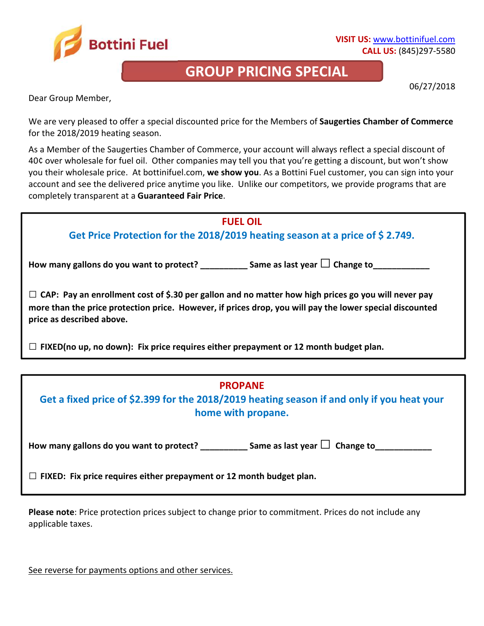

## **GROUP PRICING SPECIAL**

06/27/2018

Dear Group Member,

We are very pleased to offer a special discounted price for the Members of **Saugerties Chamber of Commerce** for the 2018/2019 heating season.

As a Member of the Saugerties Chamber of Commerce, your account will always reflect a special discount of 40¢ over wholesale for fuel oil. Other companies may tell you that you're getting a discount, but won't show you their wholesale price.At bottinifuel.com, **we show you**. As a Bottini Fuel customer, you can sign into your account and see the delivered price anytime you like. Unlike our competitors, we provide programs that are completely transparent at a **Guaranteed Fair Price**.

## **FUEL OIL Get Price Protection for the 2018/2019 heating season at a price of \$ 2.749.**  How many gallons do you want to protect? \_\_\_\_\_\_\_\_\_\_\_\_ Same as last year □ Change to **□ CAP: Pay an enrollment cost of \$.30 per gallon and no matter how high prices go you will never pay more than the price protection price. However, if prices drop, you will pay the lower special discounted price as described above. □ FIXED(no up, no down): Fix price requires either prepayment or 12 month budget plan.**

## **PROPANE**

**Get a fixed price of \$2.399 for the 2018/2019 heating season if and only if you heat your home with propane.** 

How many gallons do you want to protect?  $\Box$  Same as last year  $\Box$  Change to

**□ FIXED: Fix price requires either prepayment or 12 month budget plan.** 

**Please note**: Price protection prices subject to change prior to commitment. Prices do not include any applicable taxes.

See reverse for payments options and other services.